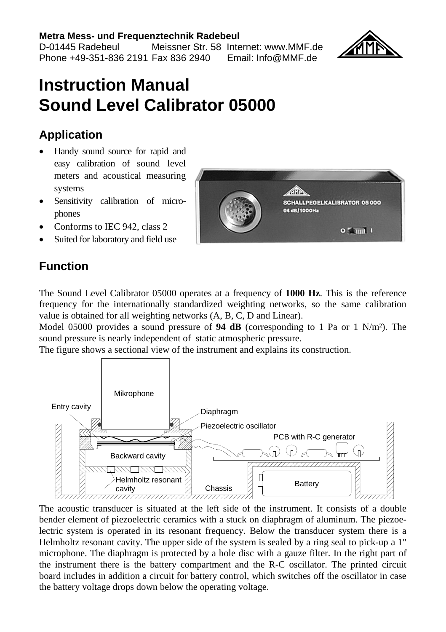#### **Metra Mess- und Frequenztechnik Radebeul**

D-01445 Radebeul Meissner Str. 58 Internet: www.MMF.de Phone +49-351-836 2191 Fax 836 2940 Email: Info@MMF.de

## **Instruction Manual Sound Level Calibrator 05000**

#### **Application**

- Handy sound source for rapid and easy calibration of sound level meters and acoustical measuring systems
- Sensitivity calibration of microphones
- Conforms to IEC 942, class 2
- Suited for laboratory and field use

## **Function**

The Sound Level Calibrator 05000 operates at a frequency of **1000 Hz**. This is the reference frequency for the internationally standardized weighting networks, so the same calibration value is obtained for all weighting networks (A, B, C, D and Linear).

Model 05000 provides a sound pressure of **94 dB** (corresponding to 1 Pa or 1  $N/m<sup>2</sup>$ ). The sound pressure is nearly independent of static atmospheric pressure.

The figure shows a sectional view of the instrument and explains its construction.



The acoustic transducer is situated at the left side of the instrument. It consists of a double bender element of piezoelectric ceramics with a stuck on diaphragm of aluminum. The piezoelectric system is operated in its resonant frequency. Below the transducer system there is a Helmholtz resonant cavity. The upper side of the system is sealed by a ring seal to pick-up a 1" microphone. The diaphragm is protected by a hole disc with a gauze filter. In the right part of the instrument there is the battery compartment and the R-C oscillator. The printed circuit board includes in addition a circuit for battery control, which switches off the oscillator in case the battery voltage drops down below the operating voltage.



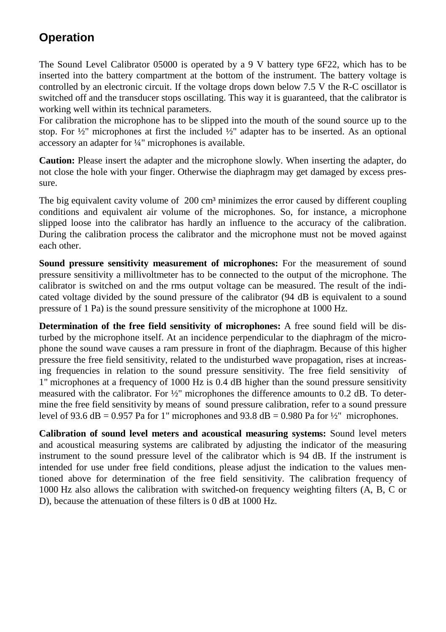### **Operation**

The Sound Level Calibrator 05000 is operated by a 9 V battery type 6F22, which has to be inserted into the battery compartment at the bottom of the instrument. The battery voltage is controlled by an electronic circuit. If the voltage drops down below 7.5 V the R-C oscillator is switched off and the transducer stops oscillating. This way it is guaranteed, that the calibrator is working well within its technical parameters.

For calibration the microphone has to be slipped into the mouth of the sound source up to the stop. For  $\frac{1}{2}$ " microphones at first the included  $\frac{1}{2}$ " adapter has to be inserted. As an optional accessory an adapter for ¼" microphones is available.

**Caution:** Please insert the adapter and the microphone slowly. When inserting the adapter, do not close the hole with your finger. Otherwise the diaphragm may get damaged by excess pressure.

The big equivalent cavity volume of  $200 \text{ cm}^3$  minimizes the error caused by different coupling conditions and equivalent air volume of the microphones. So, for instance, a microphone slipped loose into the calibrator has hardly an influence to the accuracy of the calibration. During the calibration process the calibrator and the microphone must not be moved against each other.

**Sound pressure sensitivity measurement of microphones:** For the measurement of sound pressure sensitivity a millivoltmeter has to be connected to the output of the microphone. The calibrator is switched on and the rms output voltage can be measured. The result of the indicated voltage divided by the sound pressure of the calibrator (94 dB is equivalent to a sound pressure of 1 Pa) is the sound pressure sensitivity of the microphone at 1000 Hz.

**Determination of the free field sensitivity of microphones:** A free sound field will be disturbed by the microphone itself. At an incidence perpendicular to the diaphragm of the microphone the sound wave causes a ram pressure in front of the diaphragm. Because of this higher pressure the free field sensitivity, related to the undisturbed wave propagation, rises at increasing frequencies in relation to the sound pressure sensitivity. The free field sensitivity of 1" microphones at a frequency of 1000 Hz is 0.4 dB higher than the sound pressure sensitivity measured with the calibrator. For  $\frac{1}{2}$ " microphones the difference amounts to 0.2 dB. To determine the free field sensitivity by means of sound pressure calibration, refer to a sound pressure level of 93.6 dB = 0.957 Pa for 1" microphones and 93.8 dB = 0.980 Pa for  $\frac{1}{2}$ " microphones.

**Calibration of sound level meters and acoustical measuring systems:** Sound level meters and acoustical measuring systems are calibrated by adjusting the indicator of the measuring instrument to the sound pressure level of the calibrator which is 94 dB. If the instrument is intended for use under free field conditions, please adjust the indication to the values mentioned above for determination of the free field sensitivity. The calibration frequency of 1000 Hz also allows the calibration with switched-on frequency weighting filters (A, B, C or D), because the attenuation of these filters is 0 dB at 1000 Hz.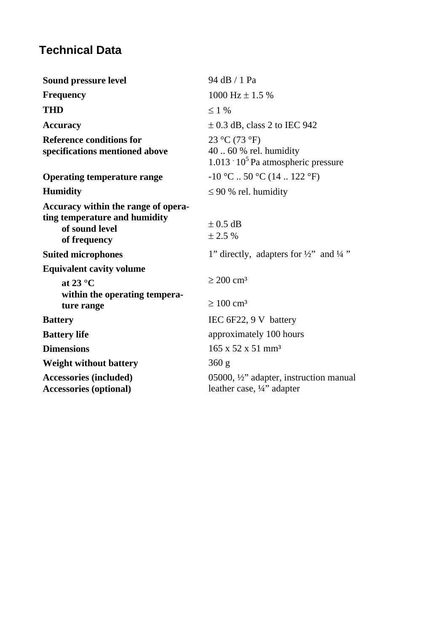## **Technical Data**

| Sound pressure level                                                                                   | 94 dB / 1 Pa                                                                              |
|--------------------------------------------------------------------------------------------------------|-------------------------------------------------------------------------------------------|
| <b>Frequency</b>                                                                                       | 1000 Hz $\pm$ 1.5 %                                                                       |
| <b>THD</b>                                                                                             | $\leq$ 1 %                                                                                |
| Accuracy                                                                                               | $\pm$ 0.3 dB, class 2 to IEC 942                                                          |
| <b>Reference conditions for</b><br>specifications mentioned above                                      | 23 °C (73 °F)<br>$40.60%$ rel. humidity<br>$1.013 \cdot 10^5$ Pa atmospheric pressure     |
| <b>Operating temperature range</b>                                                                     | $-10$ °C  50 °C (14  122 °F)                                                              |
| <b>Humidity</b>                                                                                        | $\leq$ 90 % rel. humidity                                                                 |
| Accuracy within the range of opera-<br>ting temperature and humidity<br>of sound level<br>of frequency | $\pm$ 0.5 dB<br>$\pm 2.5 \%$                                                              |
| <b>Suited microphones</b>                                                                              | 1" directly, adapters for $\frac{1}{2}$ " and $\frac{1}{4}$ "                             |
| <b>Equivalent cavity volume</b><br>at 23 $\,^{\circ}$ C<br>within the operating tempera-               | $\geq 200$ cm <sup>3</sup>                                                                |
| ture range                                                                                             | $\geq 100$ cm <sup>3</sup>                                                                |
| <b>Battery</b>                                                                                         | IEC $6F22$ , 9 V battery                                                                  |
| <b>Battery life</b>                                                                                    | approximately 100 hours                                                                   |
| <b>Dimensions</b>                                                                                      | $165 \times 52 \times 51$ mm <sup>3</sup>                                                 |
| Weight without battery                                                                                 | 360g                                                                                      |
| Accessories (included)<br><b>Accessories (optional)</b>                                                | 05000, $\frac{1}{2}$ " adapter, instruction manual<br>leather case, $\frac{1}{4}$ adapter |